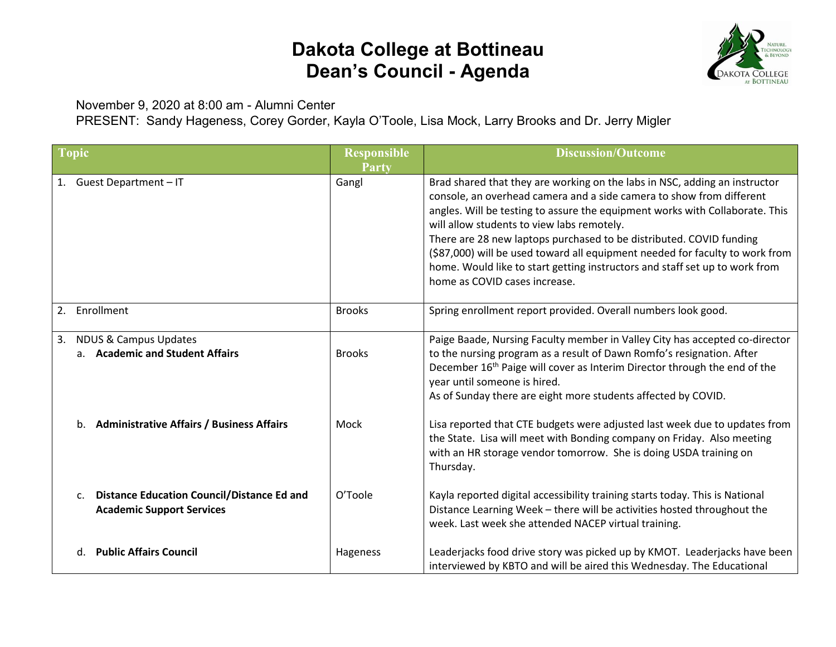## **Dakota College at Bottineau Dean's Council - Agenda**



November 9, 2020 at 8:00 am - Alumni Center

PRESENT: Sandy Hageness, Corey Gorder, Kayla O'Toole, Lisa Mock, Larry Brooks and Dr. Jerry Migler

| <b>Topic</b>                                                                                            | <b>Responsible</b><br>Party | <b>Discussion/Outcome</b>                                                                                                                                                                                                                                                                                                                                                                                                                                                                                                                               |
|---------------------------------------------------------------------------------------------------------|-----------------------------|---------------------------------------------------------------------------------------------------------------------------------------------------------------------------------------------------------------------------------------------------------------------------------------------------------------------------------------------------------------------------------------------------------------------------------------------------------------------------------------------------------------------------------------------------------|
| 1. Guest Department - IT                                                                                | Gangl                       | Brad shared that they are working on the labs in NSC, adding an instructor<br>console, an overhead camera and a side camera to show from different<br>angles. Will be testing to assure the equipment works with Collaborate. This<br>will allow students to view labs remotely.<br>There are 28 new laptops purchased to be distributed. COVID funding<br>(\$87,000) will be used toward all equipment needed for faculty to work from<br>home. Would like to start getting instructors and staff set up to work from<br>home as COVID cases increase. |
| 2. Enrollment                                                                                           | <b>Brooks</b>               | Spring enrollment report provided. Overall numbers look good.                                                                                                                                                                                                                                                                                                                                                                                                                                                                                           |
| <b>NDUS &amp; Campus Updates</b><br>3.<br>a. Academic and Student Affairs                               | <b>Brooks</b>               | Paige Baade, Nursing Faculty member in Valley City has accepted co-director<br>to the nursing program as a result of Dawn Romfo's resignation. After<br>December 16 <sup>th</sup> Paige will cover as Interim Director through the end of the<br>year until someone is hired.<br>As of Sunday there are eight more students affected by COVID.                                                                                                                                                                                                          |
| b. Administrative Affairs / Business Affairs                                                            | Mock                        | Lisa reported that CTE budgets were adjusted last week due to updates from<br>the State. Lisa will meet with Bonding company on Friday. Also meeting<br>with an HR storage vendor tomorrow. She is doing USDA training on<br>Thursday.                                                                                                                                                                                                                                                                                                                  |
| <b>Distance Education Council/Distance Ed and</b><br>$\mathsf{C}$ .<br><b>Academic Support Services</b> | O'Toole                     | Kayla reported digital accessibility training starts today. This is National<br>Distance Learning Week - there will be activities hosted throughout the<br>week. Last week she attended NACEP virtual training.                                                                                                                                                                                                                                                                                                                                         |
| d. Public Affairs Council                                                                               | Hageness                    | Leaderjacks food drive story was picked up by KMOT. Leaderjacks have been<br>interviewed by KBTO and will be aired this Wednesday. The Educational                                                                                                                                                                                                                                                                                                                                                                                                      |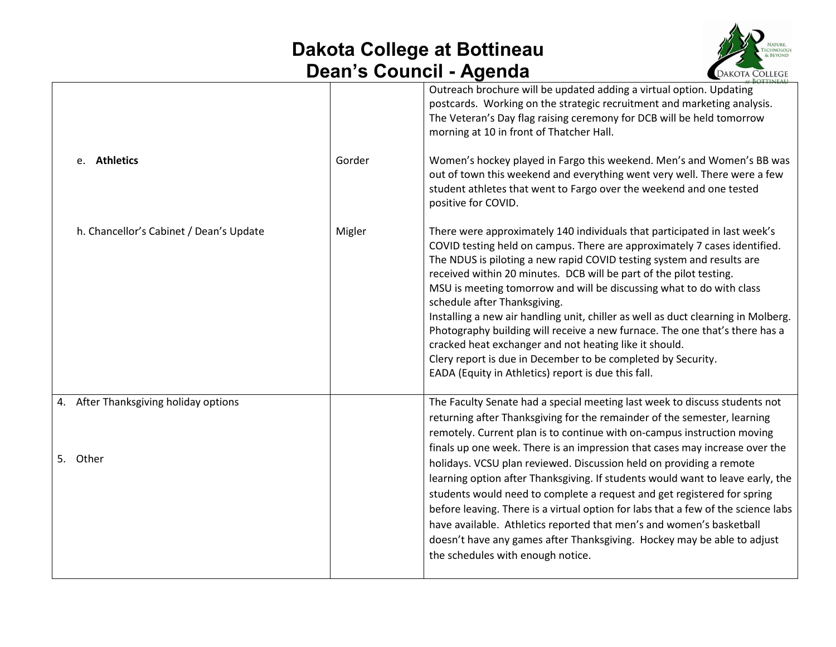## **Dakota College at Bottineau Dean's Council - Agenda**



|        | Outreach brochure will be updated adding a virtual option. Updating<br>postcards. Working on the strategic recruitment and marketing analysis.<br>The Veteran's Day flag raising ceremony for DCB will be held tomorrow<br>morning at 10 in front of Thatcher Hall.                                                                                                                                                                                                                                                                                                                                                                                                                                                                                                                                                               |
|--------|-----------------------------------------------------------------------------------------------------------------------------------------------------------------------------------------------------------------------------------------------------------------------------------------------------------------------------------------------------------------------------------------------------------------------------------------------------------------------------------------------------------------------------------------------------------------------------------------------------------------------------------------------------------------------------------------------------------------------------------------------------------------------------------------------------------------------------------|
| Gorder | Women's hockey played in Fargo this weekend. Men's and Women's BB was<br>out of town this weekend and everything went very well. There were a few<br>student athletes that went to Fargo over the weekend and one tested<br>positive for COVID.                                                                                                                                                                                                                                                                                                                                                                                                                                                                                                                                                                                   |
| Migler | There were approximately 140 individuals that participated in last week's<br>COVID testing held on campus. There are approximately 7 cases identified.<br>The NDUS is piloting a new rapid COVID testing system and results are<br>received within 20 minutes. DCB will be part of the pilot testing.<br>MSU is meeting tomorrow and will be discussing what to do with class<br>schedule after Thanksgiving.<br>Installing a new air handling unit, chiller as well as duct clearning in Molberg.<br>Photography building will receive a new furnace. The one that's there has a<br>cracked heat exchanger and not heating like it should.<br>Clery report is due in December to be completed by Security.<br>EADA (Equity in Athletics) report is due this fall.                                                                |
|        | The Faculty Senate had a special meeting last week to discuss students not<br>returning after Thanksgiving for the remainder of the semester, learning<br>remotely. Current plan is to continue with on-campus instruction moving<br>finals up one week. There is an impression that cases may increase over the<br>holidays. VCSU plan reviewed. Discussion held on providing a remote<br>learning option after Thanksgiving. If students would want to leave early, the<br>students would need to complete a request and get registered for spring<br>before leaving. There is a virtual option for labs that a few of the science labs<br>have available. Athletics reported that men's and women's basketball<br>doesn't have any games after Thanksgiving. Hockey may be able to adjust<br>the schedules with enough notice. |
|        |                                                                                                                                                                                                                                                                                                                                                                                                                                                                                                                                                                                                                                                                                                                                                                                                                                   |